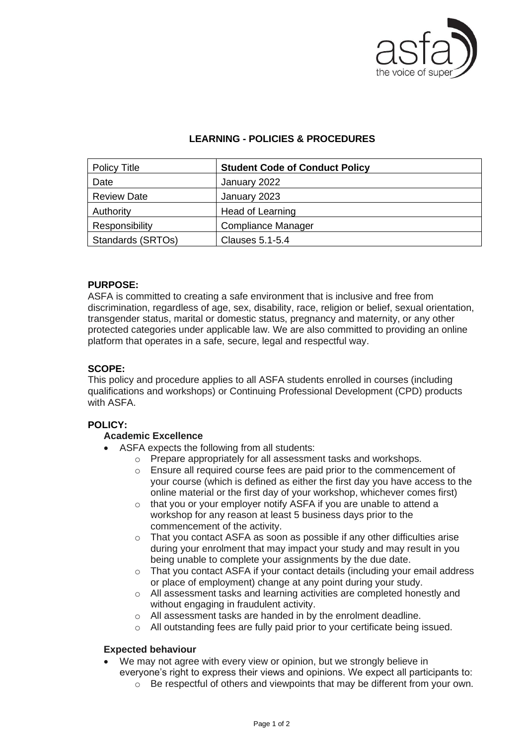

# **LEARNING - POLICIES & PROCEDURES**

| <b>Policy Title</b> | <b>Student Code of Conduct Policy</b> |
|---------------------|---------------------------------------|
| Date                | January 2022                          |
| <b>Review Date</b>  | January 2023                          |
| Authority           | Head of Learning                      |
| Responsibility      | Compliance Manager                    |
| Standards (SRTOs)   | <b>Clauses 5.1-5.4</b>                |

## **PURPOSE:**

ASFA is committed to creating a safe environment that is inclusive and free from discrimination, regardless of age, sex, disability, race, religion or belief, sexual orientation, transgender status, marital or domestic status, pregnancy and maternity, or any other protected categories under applicable law. We are also committed to providing an online platform that operates in a safe, secure, legal and respectful way.

#### **SCOPE:**

This policy and procedure applies to all ASFA students enrolled in courses (including qualifications and workshops) or Continuing Professional Development (CPD) products with ASFA.

#### **POLICY:**

#### **Academic Excellence**

- ASFA expects the following from all students:
	- o Prepare appropriately for all assessment tasks and workshops.
	- o Ensure all required course fees are paid prior to the commencement of your course (which is defined as either the first day you have access to the online material or the first day of your workshop, whichever comes first)
	- o that you or your employer notify ASFA if you are unable to attend a workshop for any reason at least 5 business days prior to the commencement of the activity.
	- o That you contact ASFA as soon as possible if any other difficulties arise during your enrolment that may impact your study and may result in you being unable to complete your assignments by the due date.
	- $\circ$  That you contact ASFA if your contact details (including your email address or place of employment) change at any point during your study.
	- o All assessment tasks and learning activities are completed honestly and without engaging in fraudulent activity.
	- o All assessment tasks are handed in by the enrolment deadline.
	- o All outstanding fees are fully paid prior to your certificate being issued.

#### **Expected behaviour**

- We may not agree with every view or opinion, but we strongly believe in everyone's right to express their views and opinions. We expect all participants to:
	- $\circ$  Be respectful of others and viewpoints that may be different from your own.